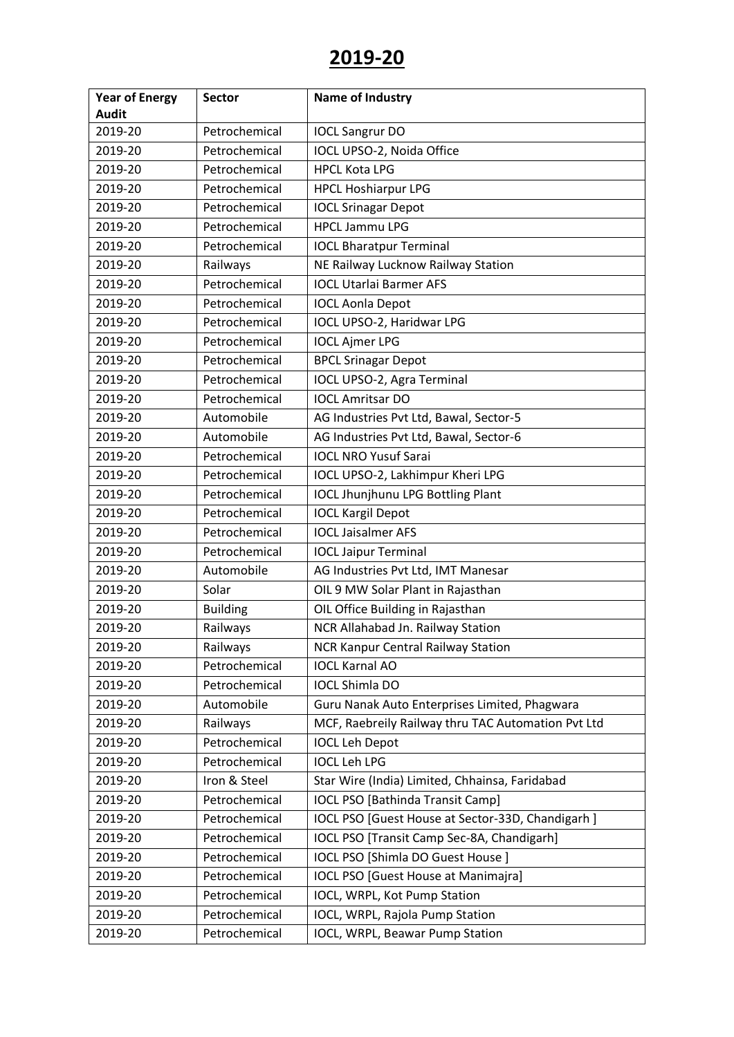| <b>Year of Energy</b> | <b>Sector</b>   | <b>Name of Industry</b>                            |
|-----------------------|-----------------|----------------------------------------------------|
| <b>Audit</b>          |                 |                                                    |
| 2019-20               | Petrochemical   | <b>IOCL Sangrur DO</b>                             |
| 2019-20               | Petrochemical   | IOCL UPSO-2, Noida Office                          |
| 2019-20               | Petrochemical   | <b>HPCL Kota LPG</b>                               |
| 2019-20               | Petrochemical   | <b>HPCL Hoshiarpur LPG</b>                         |
| 2019-20               | Petrochemical   | <b>IOCL Srinagar Depot</b>                         |
| 2019-20               | Petrochemical   | <b>HPCL Jammu LPG</b>                              |
| 2019-20               | Petrochemical   | <b>IOCL Bharatpur Terminal</b>                     |
| 2019-20               | Railways        | NE Railway Lucknow Railway Station                 |
| 2019-20               | Petrochemical   | <b>IOCL Utarlai Barmer AFS</b>                     |
| 2019-20               | Petrochemical   | <b>IOCL Aonla Depot</b>                            |
| 2019-20               | Petrochemical   | IOCL UPSO-2, Haridwar LPG                          |
| 2019-20               | Petrochemical   | <b>IOCL Ajmer LPG</b>                              |
| 2019-20               | Petrochemical   | <b>BPCL Srinagar Depot</b>                         |
| 2019-20               | Petrochemical   | IOCL UPSO-2, Agra Terminal                         |
| 2019-20               | Petrochemical   | <b>IOCL Amritsar DO</b>                            |
| 2019-20               | Automobile      | AG Industries Pvt Ltd, Bawal, Sector-5             |
| 2019-20               | Automobile      | AG Industries Pvt Ltd, Bawal, Sector-6             |
| 2019-20               | Petrochemical   | <b>IOCL NRO Yusuf Sarai</b>                        |
| 2019-20               | Petrochemical   | IOCL UPSO-2, Lakhimpur Kheri LPG                   |
| 2019-20               | Petrochemical   | <b>IOCL Jhunjhunu LPG Bottling Plant</b>           |
| 2019-20               | Petrochemical   | <b>IOCL Kargil Depot</b>                           |
| 2019-20               | Petrochemical   | <b>IOCL Jaisalmer AFS</b>                          |
| 2019-20               | Petrochemical   | <b>IOCL Jaipur Terminal</b>                        |
| 2019-20               | Automobile      | AG Industries Pvt Ltd, IMT Manesar                 |
| 2019-20               | Solar           | OIL 9 MW Solar Plant in Rajasthan                  |
| 2019-20               | <b>Building</b> | OIL Office Building in Rajasthan                   |
| 2019-20               | Railways        | NCR Allahabad Jn. Railway Station                  |
| 2019-20               | Railways        | <b>NCR Kanpur Central Railway Station</b>          |
| 2019-20               | Petrochemical   | <b>IOCL Karnal AO</b>                              |
| 2019-20               | Petrochemical   | <b>IOCL Shimla DO</b>                              |
| 2019-20               | Automobile      | Guru Nanak Auto Enterprises Limited, Phagwara      |
| 2019-20               | Railways        | MCF, Raebreily Railway thru TAC Automation Pvt Ltd |
| 2019-20               | Petrochemical   | <b>IOCL Leh Depot</b>                              |
| 2019-20               | Petrochemical   | <b>IOCL Leh LPG</b>                                |
| 2019-20               | Iron & Steel    | Star Wire (India) Limited, Chhainsa, Faridabad     |
| 2019-20               | Petrochemical   | <b>IOCL PSO [Bathinda Transit Camp]</b>            |
| 2019-20               | Petrochemical   | IOCL PSO [Guest House at Sector-33D, Chandigarh]   |
| 2019-20               | Petrochemical   | IOCL PSO [Transit Camp Sec-8A, Chandigarh]         |
| 2019-20               | Petrochemical   | IOCL PSO [Shimla DO Guest House]                   |
| 2019-20               | Petrochemical   | <b>IOCL PSO [Guest House at Manimajra]</b>         |
| 2019-20               | Petrochemical   | IOCL, WRPL, Kot Pump Station                       |
| 2019-20               | Petrochemical   | IOCL, WRPL, Rajola Pump Station                    |
| 2019-20               | Petrochemical   | IOCL, WRPL, Beawar Pump Station                    |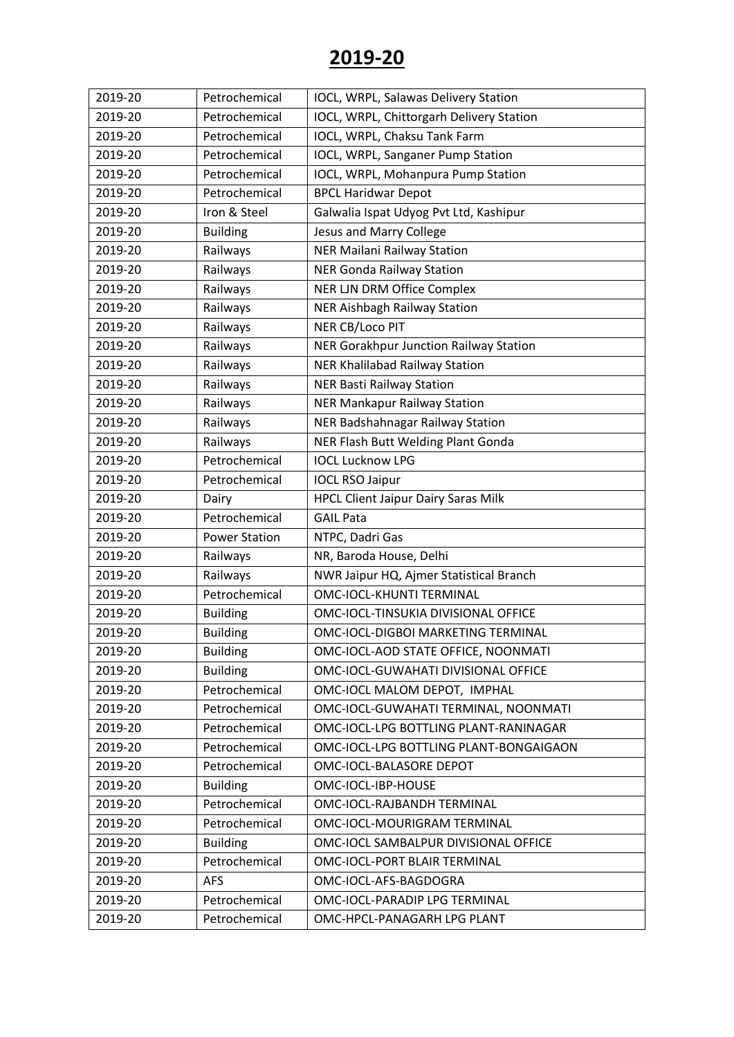| 2019-20 | Petrochemical        | IOCL, WRPL, Salawas Delivery Station       |
|---------|----------------------|--------------------------------------------|
| 2019-20 | Petrochemical        | IOCL, WRPL, Chittorgarh Delivery Station   |
| 2019-20 | Petrochemical        | IOCL, WRPL, Chaksu Tank Farm               |
| 2019-20 | Petrochemical        | IOCL, WRPL, Sanganer Pump Station          |
| 2019-20 | Petrochemical        | IOCL, WRPL, Mohanpura Pump Station         |
| 2019-20 | Petrochemical        | <b>BPCL Haridwar Depot</b>                 |
| 2019-20 | Iron & Steel         | Galwalia Ispat Udyog Pvt Ltd, Kashipur     |
| 2019-20 | <b>Building</b>      | Jesus and Marry College                    |
| 2019-20 | Railways             | <b>NER Mailani Railway Station</b>         |
| 2019-20 | Railways             | <b>NER Gonda Railway Station</b>           |
| 2019-20 | Railways             | NER LJN DRM Office Complex                 |
| 2019-20 | Railways             | NER Aishbagh Railway Station               |
| 2019-20 | Railways             | NER CB/Loco PIT                            |
| 2019-20 | Railways             | NER Gorakhpur Junction Railway Station     |
| 2019-20 | Railways             | NER Khalilabad Railway Station             |
| 2019-20 | Railways             | <b>NER Basti Railway Station</b>           |
| 2019-20 | Railways             | NER Mankapur Railway Station               |
| 2019-20 | Railways             | NER Badshahnagar Railway Station           |
| 2019-20 | Railways             | NER Flash Butt Welding Plant Gonda         |
| 2019-20 | Petrochemical        | <b>IOCL Lucknow LPG</b>                    |
| 2019-20 | Petrochemical        | <b>IOCL RSO Jaipur</b>                     |
| 2019-20 | Dairy                | <b>HPCL Client Jaipur Dairy Saras Milk</b> |
| 2019-20 | Petrochemical        | <b>GAIL Pata</b>                           |
| 2019-20 | <b>Power Station</b> | NTPC, Dadri Gas                            |
| 2019-20 | Railways             | NR, Baroda House, Delhi                    |
| 2019-20 | Railways             | NWR Jaipur HQ, Ajmer Statistical Branch    |
| 2019-20 | Petrochemical        | <b>OMC-IOCL-KHUNTI TERMINAL</b>            |
| 2019-20 | <b>Building</b>      | OMC-IOCL-TINSUKIA DIVISIONAL OFFICE        |
| 2019-20 | <b>Building</b>      | OMC-IOCL-DIGBOI MARKETING TERMINAL         |
| 2019-20 | <b>Building</b>      | OMC-IOCL-AOD STATE OFFICE, NOONMATI        |
| 2019-20 | <b>Building</b>      | OMC-IOCL-GUWAHATI DIVISIONAL OFFICE        |
| 2019-20 | Petrochemical        | OMC-IOCL MALOM DEPOT, IMPHAL               |
| 2019-20 | Petrochemical        | OMC-IOCL-GUWAHATI TERMINAL, NOONMATI       |
| 2019-20 | Petrochemical        | OMC-IOCL-LPG BOTTLING PLANT-RANINAGAR      |
| 2019-20 | Petrochemical        | OMC-IOCL-LPG BOTTLING PLANT-BONGAIGAON     |
| 2019-20 | Petrochemical        | OMC-IOCL-BALASORE DEPOT                    |
| 2019-20 | <b>Building</b>      | OMC-IOCL-IBP-HOUSE                         |
| 2019-20 | Petrochemical        | OMC-IOCL-RAJBANDH TERMINAL                 |
| 2019-20 | Petrochemical        | OMC-IOCL-MOURIGRAM TERMINAL                |
| 2019-20 | <b>Building</b>      | OMC-IOCL SAMBALPUR DIVISIONAL OFFICE       |
| 2019-20 | Petrochemical        | OMC-IOCL-PORT BLAIR TERMINAL               |
| 2019-20 | <b>AFS</b>           | OMC-IOCL-AFS-BAGDOGRA                      |
| 2019-20 | Petrochemical        | OMC-IOCL-PARADIP LPG TERMINAL              |
| 2019-20 | Petrochemical        | OMC-HPCL-PANAGARH LPG PLANT                |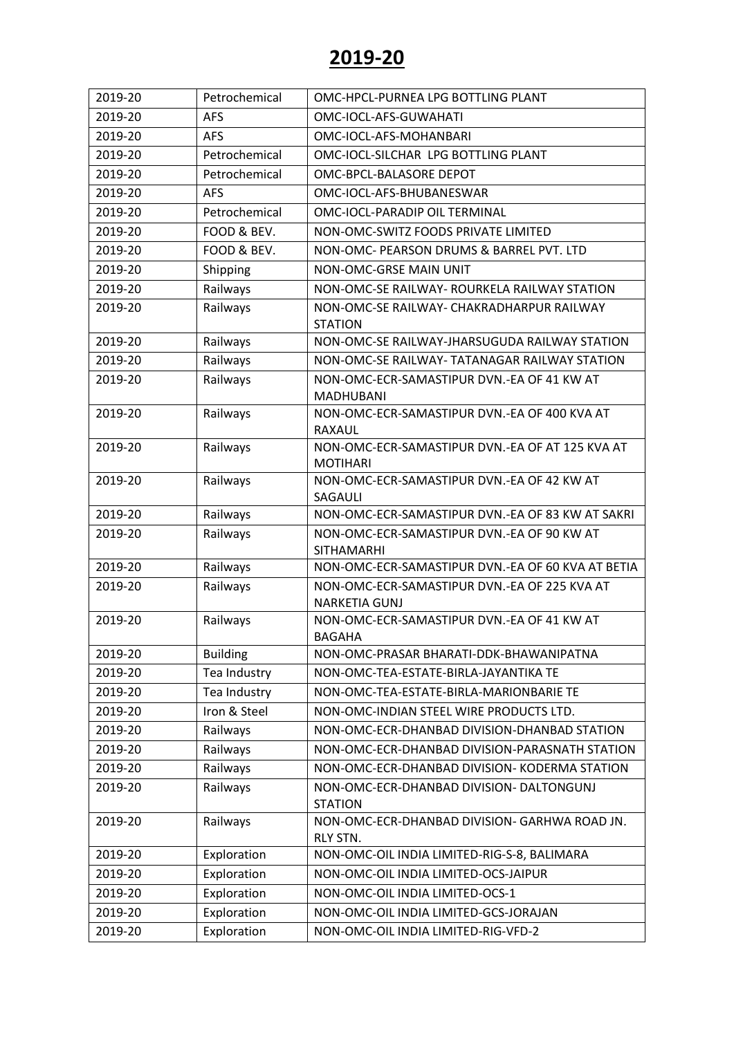| 2019-20 | Petrochemical   | OMC-HPCL-PURNEA LPG BOTTLING PLANT                                   |
|---------|-----------------|----------------------------------------------------------------------|
| 2019-20 | <b>AFS</b>      | OMC-IOCL-AFS-GUWAHATI                                                |
| 2019-20 | <b>AFS</b>      | OMC-IOCL-AFS-MOHANBARI                                               |
| 2019-20 | Petrochemical   | OMC-IOCL-SILCHAR LPG BOTTLING PLANT                                  |
| 2019-20 | Petrochemical   | OMC-BPCL-BALASORE DEPOT                                              |
| 2019-20 | <b>AFS</b>      | OMC-IOCL-AFS-BHUBANESWAR                                             |
| 2019-20 | Petrochemical   | OMC-IOCL-PARADIP OIL TERMINAL                                        |
| 2019-20 | FOOD & BEV.     | NON-OMC-SWITZ FOODS PRIVATE LIMITED                                  |
| 2019-20 | FOOD & BEV.     | NON-OMC- PEARSON DRUMS & BARREL PVT. LTD                             |
| 2019-20 | Shipping        | NON-OMC-GRSE MAIN UNIT                                               |
| 2019-20 | Railways        | NON-OMC-SE RAILWAY- ROURKELA RAILWAY STATION                         |
| 2019-20 | Railways        | NON-OMC-SE RAILWAY- CHAKRADHARPUR RAILWAY<br><b>STATION</b>          |
| 2019-20 | Railways        | NON-OMC-SE RAILWAY-JHARSUGUDA RAILWAY STATION                        |
| 2019-20 | Railways        | NON-OMC-SE RAILWAY- TATANAGAR RAILWAY STATION                        |
| 2019-20 | Railways        | NON-OMC-ECR-SAMASTIPUR DVN.-EA OF 41 KW AT<br>MADHUBANI              |
| 2019-20 | Railways        | NON-OMC-ECR-SAMASTIPUR DVN.-EA OF 400 KVA AT<br>RAXAUL               |
| 2019-20 | Railways        | NON-OMC-ECR-SAMASTIPUR DVN.-EA OF AT 125 KVA AT<br><b>MOTIHARI</b>   |
| 2019-20 | Railways        | NON-OMC-ECR-SAMASTIPUR DVN.-EA OF 42 KW AT<br>SAGAULI                |
| 2019-20 | Railways        | NON-OMC-ECR-SAMASTIPUR DVN.-EA OF 83 KW AT SAKRI                     |
| 2019-20 | Railways        | NON-OMC-ECR-SAMASTIPUR DVN.-EA OF 90 KW AT<br><b>SITHAMARHI</b>      |
| 2019-20 | Railways        | NON-OMC-ECR-SAMASTIPUR DVN.-EA OF 60 KVA AT BETIA                    |
| 2019-20 | Railways        | NON-OMC-ECR-SAMASTIPUR DVN.-EA OF 225 KVA AT<br><b>NARKETIA GUNJ</b> |
| 2019-20 | Railways        | NON-OMC-ECR-SAMASTIPUR DVN.-EA OF 41 KW AT<br><b>BAGAHA</b>          |
| 2019-20 | <b>Building</b> | NON-OMC-PRASAR BHARATI-DDK-BHAWANIPATNA                              |
| 2019-20 | Tea Industry    | NON-OMC-TEA-ESTATE-BIRLA-JAYANTIKA TE                                |
| 2019-20 | Tea Industry    | NON-OMC-TEA-ESTATE-BIRLA-MARIONBARIE TE                              |
| 2019-20 | Iron & Steel    | NON-OMC-INDIAN STEEL WIRE PRODUCTS LTD.                              |
| 2019-20 | Railways        | NON-OMC-ECR-DHANBAD DIVISION-DHANBAD STATION                         |
| 2019-20 | Railways        | NON-OMC-ECR-DHANBAD DIVISION-PARASNATH STATION                       |
| 2019-20 | Railways        | NON-OMC-ECR-DHANBAD DIVISION- KODERMA STATION                        |
| 2019-20 | Railways        | NON-OMC-ECR-DHANBAD DIVISION- DALTONGUNJ<br><b>STATION</b>           |
| 2019-20 | Railways        | NON-OMC-ECR-DHANBAD DIVISION- GARHWA ROAD JN.<br>RLY STN.            |
| 2019-20 | Exploration     | NON-OMC-OIL INDIA LIMITED-RIG-S-8, BALIMARA                          |
| 2019-20 | Exploration     | NON-OMC-OIL INDIA LIMITED-OCS-JAIPUR                                 |
| 2019-20 | Exploration     | NON-OMC-OIL INDIA LIMITED-OCS-1                                      |
| 2019-20 | Exploration     | NON-OMC-OIL INDIA LIMITED-GCS-JORAJAN                                |
| 2019-20 | Exploration     | NON-OMC-OIL INDIA LIMITED-RIG-VFD-2                                  |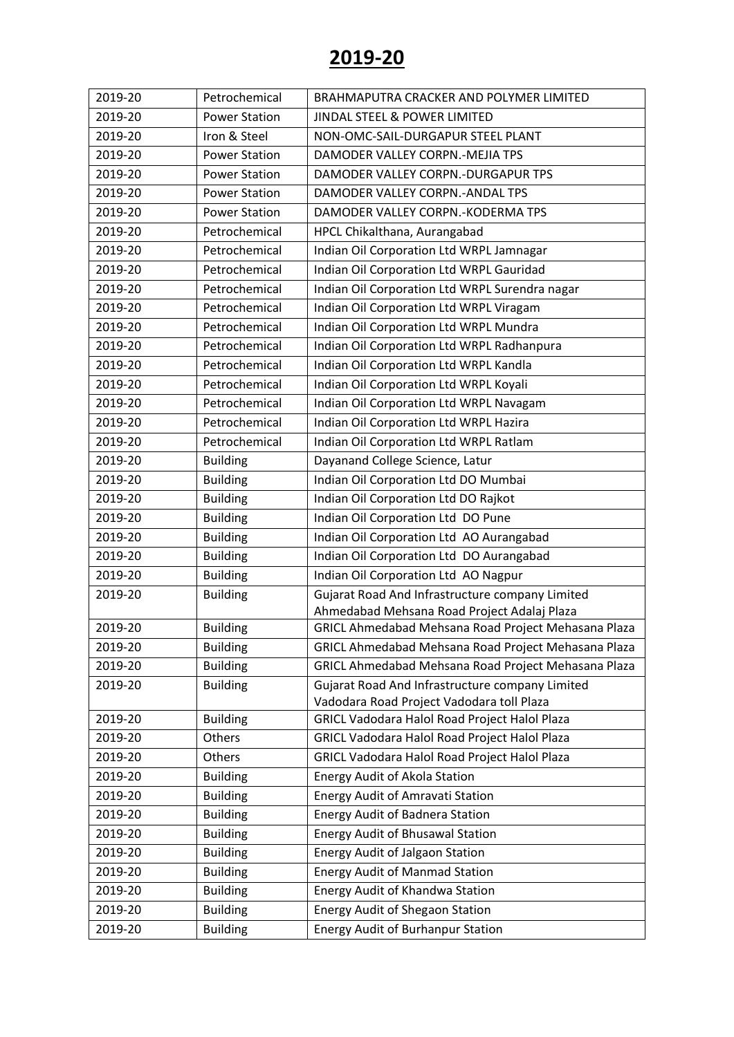| 2019-20 | Petrochemical        | BRAHMAPUTRA CRACKER AND POLYMER LIMITED             |
|---------|----------------------|-----------------------------------------------------|
| 2019-20 | <b>Power Station</b> | JINDAL STEEL & POWER LIMITED                        |
| 2019-20 | Iron & Steel         | NON-OMC-SAIL-DURGAPUR STEEL PLANT                   |
| 2019-20 | <b>Power Station</b> | DAMODER VALLEY CORPN.-MEJIA TPS                     |
| 2019-20 | <b>Power Station</b> | DAMODER VALLEY CORPN.-DURGAPUR TPS                  |
| 2019-20 | <b>Power Station</b> | DAMODER VALLEY CORPN.-ANDAL TPS                     |
| 2019-20 | <b>Power Station</b> | DAMODER VALLEY CORPN.-KODERMA TPS                   |
| 2019-20 | Petrochemical        | HPCL Chikalthana, Aurangabad                        |
| 2019-20 | Petrochemical        | Indian Oil Corporation Ltd WRPL Jamnagar            |
| 2019-20 | Petrochemical        | Indian Oil Corporation Ltd WRPL Gauridad            |
| 2019-20 | Petrochemical        | Indian Oil Corporation Ltd WRPL Surendra nagar      |
| 2019-20 | Petrochemical        | Indian Oil Corporation Ltd WRPL Viragam             |
| 2019-20 | Petrochemical        | Indian Oil Corporation Ltd WRPL Mundra              |
| 2019-20 | Petrochemical        | Indian Oil Corporation Ltd WRPL Radhanpura          |
| 2019-20 | Petrochemical        | Indian Oil Corporation Ltd WRPL Kandla              |
| 2019-20 | Petrochemical        | Indian Oil Corporation Ltd WRPL Koyali              |
| 2019-20 | Petrochemical        | Indian Oil Corporation Ltd WRPL Navagam             |
| 2019-20 | Petrochemical        | Indian Oil Corporation Ltd WRPL Hazira              |
| 2019-20 | Petrochemical        | Indian Oil Corporation Ltd WRPL Ratlam              |
| 2019-20 | <b>Building</b>      | Dayanand College Science, Latur                     |
| 2019-20 | <b>Building</b>      | Indian Oil Corporation Ltd DO Mumbai                |
| 2019-20 | <b>Building</b>      | Indian Oil Corporation Ltd DO Rajkot                |
| 2019-20 | <b>Building</b>      | Indian Oil Corporation Ltd DO Pune                  |
| 2019-20 | <b>Building</b>      | Indian Oil Corporation Ltd AO Aurangabad            |
| 2019-20 | <b>Building</b>      | Indian Oil Corporation Ltd DO Aurangabad            |
| 2019-20 | <b>Building</b>      | Indian Oil Corporation Ltd AO Nagpur                |
| 2019-20 | <b>Building</b>      | Gujarat Road And Infrastructure company Limited     |
|         |                      | Ahmedabad Mehsana Road Project Adalaj Plaza         |
| 2019-20 | <b>Building</b>      | GRICL Ahmedabad Mehsana Road Project Mehasana Plaza |
| 2019-20 | <b>Building</b>      | GRICL Ahmedabad Mehsana Road Project Mehasana Plaza |
| 2019-20 | <b>Building</b>      | GRICL Ahmedabad Mehsana Road Project Mehasana Plaza |
| 2019-20 | <b>Building</b>      | Gujarat Road And Infrastructure company Limited     |
|         |                      | Vadodara Road Project Vadodara toll Plaza           |
| 2019-20 | <b>Building</b>      | GRICL Vadodara Halol Road Project Halol Plaza       |
| 2019-20 | Others               | GRICL Vadodara Halol Road Project Halol Plaza       |
| 2019-20 | Others               | GRICL Vadodara Halol Road Project Halol Plaza       |
| 2019-20 | <b>Building</b>      | Energy Audit of Akola Station                       |
| 2019-20 | <b>Building</b>      | <b>Energy Audit of Amravati Station</b>             |
| 2019-20 | <b>Building</b>      | <b>Energy Audit of Badnera Station</b>              |
| 2019-20 | <b>Building</b>      | <b>Energy Audit of Bhusawal Station</b>             |
| 2019-20 | <b>Building</b>      | Energy Audit of Jalgaon Station                     |
| 2019-20 | <b>Building</b>      | <b>Energy Audit of Manmad Station</b>               |
| 2019-20 | <b>Building</b>      | Energy Audit of Khandwa Station                     |
| 2019-20 | <b>Building</b>      | <b>Energy Audit of Shegaon Station</b>              |
| 2019-20 | <b>Building</b>      | <b>Energy Audit of Burhanpur Station</b>            |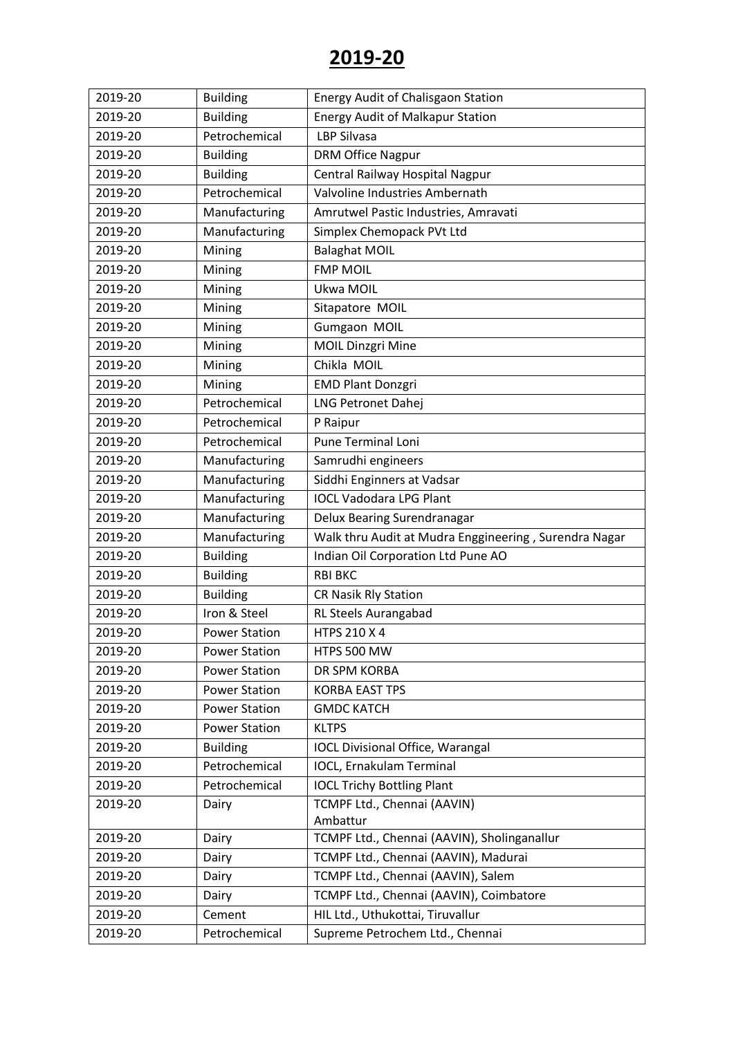| 2019-20 | <b>Building</b>      | <b>Energy Audit of Chalisgaon Station</b>             |
|---------|----------------------|-------------------------------------------------------|
| 2019-20 | <b>Building</b>      | <b>Energy Audit of Malkapur Station</b>               |
| 2019-20 | Petrochemical        | <b>LBP Silvasa</b>                                    |
| 2019-20 | <b>Building</b>      | <b>DRM Office Nagpur</b>                              |
| 2019-20 | <b>Building</b>      | Central Railway Hospital Nagpur                       |
| 2019-20 | Petrochemical        | Valvoline Industries Ambernath                        |
| 2019-20 | Manufacturing        | Amrutwel Pastic Industries, Amravati                  |
| 2019-20 | Manufacturing        | Simplex Chemopack PVt Ltd                             |
| 2019-20 | Mining               | <b>Balaghat MOIL</b>                                  |
| 2019-20 | Mining               | <b>FMP MOIL</b>                                       |
| 2019-20 | Mining               | Ukwa MOIL                                             |
| 2019-20 | Mining               | Sitapatore MOIL                                       |
| 2019-20 | Mining               | Gumgaon MOIL                                          |
| 2019-20 | Mining               | <b>MOIL Dinzgri Mine</b>                              |
| 2019-20 | Mining               | Chikla MOIL                                           |
| 2019-20 | Mining               | <b>EMD Plant Donzgri</b>                              |
| 2019-20 | Petrochemical        | LNG Petronet Dahej                                    |
| 2019-20 | Petrochemical        | P Raipur                                              |
| 2019-20 | Petrochemical        | <b>Pune Terminal Loni</b>                             |
| 2019-20 | Manufacturing        | Samrudhi engineers                                    |
| 2019-20 | Manufacturing        | Siddhi Enginners at Vadsar                            |
| 2019-20 | Manufacturing        | <b>IOCL Vadodara LPG Plant</b>                        |
| 2019-20 | Manufacturing        | Delux Bearing Surendranagar                           |
| 2019-20 | Manufacturing        | Walk thru Audit at Mudra Enggineering, Surendra Nagar |
| 2019-20 | <b>Building</b>      | Indian Oil Corporation Ltd Pune AO                    |
| 2019-20 | <b>Building</b>      | <b>RBI BKC</b>                                        |
| 2019-20 | <b>Building</b>      | <b>CR Nasik Rly Station</b>                           |
| 2019-20 | Iron & Steel         | <b>RL Steels Aurangabad</b>                           |
| 2019-20 | <b>Power Station</b> | HTPS 210 X 4                                          |
| 2019-20 | <b>Power Station</b> | HTPS 500 MW                                           |
| 2019-20 | <b>Power Station</b> | DR SPM KORBA                                          |
| 2019-20 | <b>Power Station</b> | <b>KORBA EAST TPS</b>                                 |
| 2019-20 | <b>Power Station</b> | <b>GMDC KATCH</b>                                     |
| 2019-20 | <b>Power Station</b> | <b>KLTPS</b>                                          |
| 2019-20 | <b>Building</b>      | <b>IOCL Divisional Office, Warangal</b>               |
| 2019-20 | Petrochemical        | <b>IOCL, Ernakulam Terminal</b>                       |
| 2019-20 | Petrochemical        | <b>IOCL Trichy Bottling Plant</b>                     |
| 2019-20 | Dairy                | TCMPF Ltd., Chennai (AAVIN)                           |
|         |                      | Ambattur                                              |
| 2019-20 | Dairy                | TCMPF Ltd., Chennai (AAVIN), Sholinganallur           |
| 2019-20 | Dairy                | TCMPF Ltd., Chennai (AAVIN), Madurai                  |
| 2019-20 | Dairy                | TCMPF Ltd., Chennai (AAVIN), Salem                    |
| 2019-20 | Dairy                | TCMPF Ltd., Chennai (AAVIN), Coimbatore               |
| 2019-20 | Cement               | HIL Ltd., Uthukottai, Tiruvallur                      |
| 2019-20 | Petrochemical        | Supreme Petrochem Ltd., Chennai                       |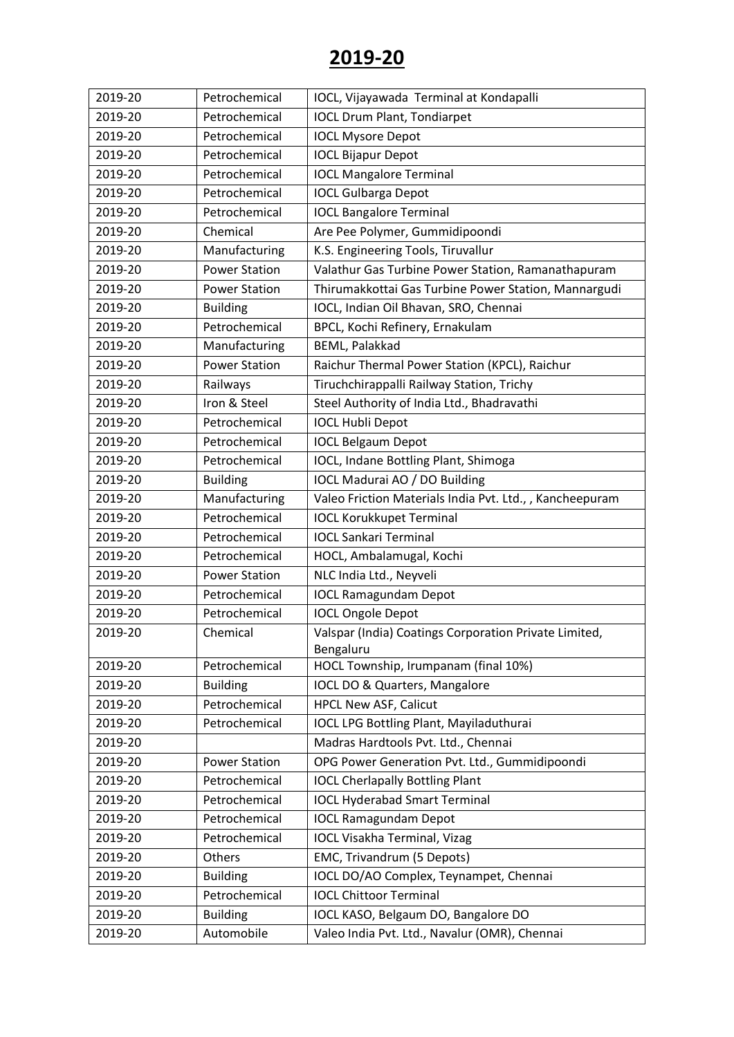| 2019-20 | Petrochemical        | IOCL, Vijayawada Terminal at Kondapalli                 |
|---------|----------------------|---------------------------------------------------------|
| 2019-20 | Petrochemical        | <b>IOCL Drum Plant, Tondiarpet</b>                      |
| 2019-20 | Petrochemical        | <b>IOCL Mysore Depot</b>                                |
| 2019-20 | Petrochemical        | <b>IOCL Bijapur Depot</b>                               |
| 2019-20 | Petrochemical        | <b>IOCL Mangalore Terminal</b>                          |
| 2019-20 | Petrochemical        | <b>IOCL Gulbarga Depot</b>                              |
| 2019-20 | Petrochemical        | <b>IOCL Bangalore Terminal</b>                          |
| 2019-20 | Chemical             | Are Pee Polymer, Gummidipoondi                          |
| 2019-20 | Manufacturing        | K.S. Engineering Tools, Tiruvallur                      |
| 2019-20 | <b>Power Station</b> | Valathur Gas Turbine Power Station, Ramanathapuram      |
| 2019-20 | <b>Power Station</b> | Thirumakkottai Gas Turbine Power Station, Mannargudi    |
| 2019-20 | <b>Building</b>      | IOCL, Indian Oil Bhavan, SRO, Chennai                   |
| 2019-20 | Petrochemical        | BPCL, Kochi Refinery, Ernakulam                         |
| 2019-20 | Manufacturing        | <b>BEML, Palakkad</b>                                   |
| 2019-20 | <b>Power Station</b> | Raichur Thermal Power Station (KPCL), Raichur           |
| 2019-20 | Railways             | Tiruchchirappalli Railway Station, Trichy               |
| 2019-20 | Iron & Steel         | Steel Authority of India Ltd., Bhadravathi              |
| 2019-20 | Petrochemical        | <b>IOCL Hubli Depot</b>                                 |
| 2019-20 | Petrochemical        | <b>IOCL Belgaum Depot</b>                               |
| 2019-20 | Petrochemical        | IOCL, Indane Bottling Plant, Shimoga                    |
| 2019-20 | <b>Building</b>      | IOCL Madurai AO / DO Building                           |
| 2019-20 | Manufacturing        | Valeo Friction Materials India Pvt. Ltd.,, Kancheepuram |
| 2019-20 | Petrochemical        | <b>IOCL Korukkupet Terminal</b>                         |
| 2019-20 | Petrochemical        | <b>IOCL Sankari Terminal</b>                            |
| 2019-20 | Petrochemical        | HOCL, Ambalamugal, Kochi                                |
| 2019-20 | <b>Power Station</b> | NLC India Ltd., Neyveli                                 |
| 2019-20 | Petrochemical        | <b>IOCL Ramagundam Depot</b>                            |
| 2019-20 | Petrochemical        | <b>IOCL Ongole Depot</b>                                |
| 2019-20 | Chemical             | Valspar (India) Coatings Corporation Private Limited,   |
|         |                      | Bengaluru                                               |
| 2019-20 | Petrochemical        | HOCL Township, Irumpanam (final 10%)                    |
| 2019-20 | <b>Building</b>      | IOCL DO & Quarters, Mangalore                           |
| 2019-20 | Petrochemical        | <b>HPCL New ASF, Calicut</b>                            |
| 2019-20 | Petrochemical        | <b>IOCL LPG Bottling Plant, Mayiladuthurai</b>          |
| 2019-20 |                      | Madras Hardtools Pvt. Ltd., Chennai                     |
| 2019-20 | <b>Power Station</b> | OPG Power Generation Pvt. Ltd., Gummidipoondi           |
| 2019-20 | Petrochemical        | <b>IOCL Cherlapally Bottling Plant</b>                  |
| 2019-20 | Petrochemical        | <b>IOCL Hyderabad Smart Terminal</b>                    |
| 2019-20 | Petrochemical        | <b>IOCL Ramagundam Depot</b>                            |
| 2019-20 | Petrochemical        | <b>IOCL Visakha Terminal, Vizag</b>                     |
| 2019-20 | <b>Others</b>        | EMC, Trivandrum (5 Depots)                              |
| 2019-20 | <b>Building</b>      | IOCL DO/AO Complex, Teynampet, Chennai                  |
| 2019-20 | Petrochemical        | <b>IOCL Chittoor Terminal</b>                           |
| 2019-20 | <b>Building</b>      | IOCL KASO, Belgaum DO, Bangalore DO                     |
| 2019-20 | Automobile           | Valeo India Pvt. Ltd., Navalur (OMR), Chennai           |